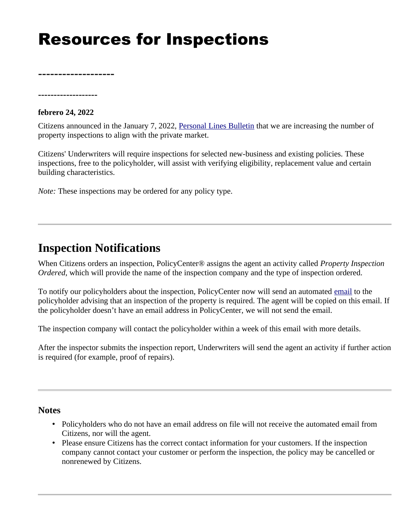# Resources for Inspections

**-------------------**

**-------------------**

#### **febrero 24, 2022**

Citizens announced in the January 7, 2022, [Personal Lines Bulletin](https://www.citizensfla.com/-/20220105-property-inspection-expansion) that we are increasing the number of property inspections to align with the private market.

Citizens' Underwriters will require inspections for selected new-business and existing policies. These inspections, free to the policyholder, will assist with verifying eligibility, replacement value and certain building characteristics.

*Note:* These inspections may be ordered for any policy type.

### **Inspection Notifications**

When Citizens orders an inspection, PolicyCenter® assigns the agent an activity called *Property Inspection Ordered*, which will provide the name of the inspection company and the type of inspection ordered.

To notify our policyholders about the inspection, PolicyCenter now will send an automated [email](https://www.citizensfla.com/documents/20702/22346347/PH+Email_Property+Inspection+Ordered_final.pdf/8f15765c-a1f6-18c0-c263-29b4e8c3753a?t=1645648056161) to the policyholder advising that an inspection of the property is required. The agent will be copied on this email. If the policyholder doesn't have an email address in PolicyCenter, we will not send the email.

The inspection company will contact the policyholder within a week of this email with more details.

After the inspector submits the inspection report, Underwriters will send the agent an activity if further action is required (for example, proof of repairs).

#### **Notes**

- Policyholders who do not have an email address on file will not receive the automated email from Citizens, nor will the agent.
- Please ensure Citizens has the correct contact information for your customers. If the inspection company cannot contact your customer or perform the inspection, the policy may be cancelled or nonrenewed by Citizens.